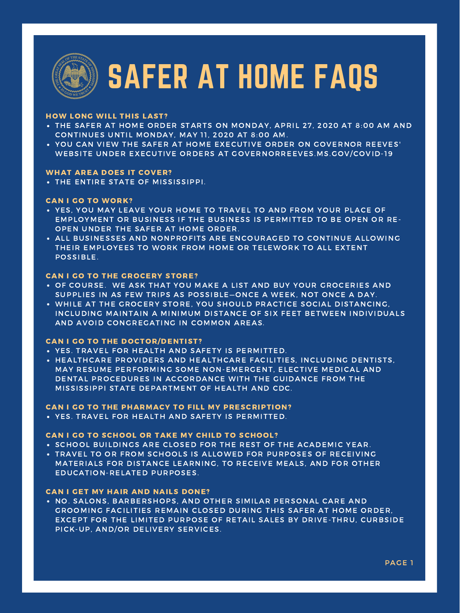- THE SAFER AT HOME ORDER STARTS ON MONDAY, APRIL 27, 2020 AT 8:00 AM AND CONTINUES UNTIL MONDAY, MAY 11, 2020 AT 8:00 AM.
- YOU CAN VIEW THE SAFER AT HOME EXECUTIVE ORDER ON GOVERNOR REEVES' WEBSITE UNDER EXECUTIVE ORDERS AT GOVERNORREEVES.MS.GOV/COVID-19

THE ENTIRE STATE OF MISSISSIPPI.

- YES, YOU MAY LEAVE YOUR HOME TO TRAVEL TO AND FROM YOUR PLACE OF EMPLOYMENT OR BUSINESS IF THE BUSINESS IS PERMITTED TO BE OPEN OR RE-OPEN UNDER THE SAFER AT HOME ORDER.
- ALL BUSINESSES AND NONPROFITS ARE ENCOURAGED TO CONTINUE ALLOWING THEIR EMPLOYEES TO WORK FROM HOME OR TELEWORK TO ALL EXTENT POSSIBLE.

- OF COURSE. WE ASK THAT YOU MAKE A LIST AND BUY YOUR GROCERIES AND SUPPLIES IN AS FEW TRIPS AS POSSIBLE—ONCE A WEEK, NOT ONCE A DAY.
- WHILE AT THE GROCERY STORE, YOU SHOULD PRACTICE SOCIAL DISTANCING, INCLUDING MAINTAIN A MINIMUM DISTANCE OF SIX FEET BETWEEN INDIVIDUALS

- . SCHOOL BUILDINGS ARE CLOSED FOR THE REST OF THE ACADEMIC YEAR.
- TRAVEL TO OR FROM SCHOOLS IS ALLOWED FOR PURPOSES OF RECEIVING MATERIALS FOR DISTANCE LEARNING, TO RECEIVE MEALS, AND FOR OTHER EDUCATION-RELATED PURPOSES.

. NO. SALONS, BARBERSHOPS, AND OTHER SIMILAR PERSONAL CARE AND GROOMING FACILITIES REMAIN CLOSED DURING THIS SAFER AT HOME ORDER, EXCEPT FOR THE LIMITED PURPOSE OF RETAIL SALES BY DRIVE-THRU, CURBSIDE PICK-UP, AND/OR DELIVERY SERVICES.

AND AVOID CONGREGATING IN COMMON AREAS.

- YES. TRAVEL FOR HEALTH AND SAFETY IS PERMITTED.
- HEALTHCARE PROVIDERS AND HEALTHCARE FACILITIES, INCLUDING DENTISTS, MAY RESUME PERFORMING SOME NON-EMERGENT, ELECTIVE MEDICAL AND DENTAL PROCEDURES IN ACCORDANCE WITH THE GUIDANCE FROM THE MISSISSIPPI STATE DEPARTMENT OF HEALTH AND CDC.

YES. TRAVEL FOR HEALTH AND SAFETY IS PERMITTED.

#### HOW LONG WILL THIS LAST?

#### WHAT AREA DOES IT COVER?

#### CAN I GO TO WORK?

### CAN I GO TO THE GROCERY STORE?

#### CAN I GO TO THE DOCTOR/DENTIST?

#### CAN I GO TO THE PHARMACY TO FILL MY PRESCRIPTION?

#### CAN I GO TO SCHOOL OR TAKE MY CHILD TO SCHOOL?

#### CAN I GET MY HAIR AND NAILS DONE?



# SAFER AT HOME FAQS

PAGE 1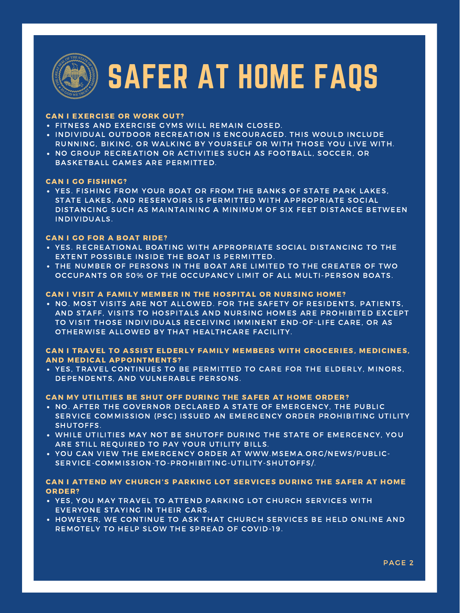

# SAFER AT HOME FAQS

- FITNESS AND EXERCISE GYMS WILL REMAIN CLOSED.
- INDIVIDUAL OUTDOOR RECREATION IS ENCOURAGED. THIS WOULD INCLUDE RUNNING, BIKING, OR WALKING BY YOURSELF OR WITH THOSE YOU LIVE WITH.
- NO GROUP RECREATION OR ACTIVITIES SUCH AS FOOTBALL, SOCCER, OR BASKETBALL GAMES ARE PERMITTED.

YES. FISHING FROM YOUR BOAT OR FROM THE BANKS OF STATE PARK LAKES, STATE LAKES, AND RESERVOIRS IS PERMITTED WITH APPROPRIATE SOCIAL DISTANCING SUCH AS MAINTAINING A MINIMUM OF SIX FEET DISTANCE BETWEEN INDIVIDUALS.

. NO. MOST VISITS ARE NOT ALLOWED. FOR THE SAFETY OF RESIDENTS. PATIENTS, AND STAFF, VISITS TO HOSPITALS AND NURSING HOMES ARE PROHIBITED EXCEPT

- YES. RECREATIONAL BOATING WITH APPROPRIATE SOCIAL DISTANCING TO THE EXTENT POSSIBLE INSIDE THE BOAT IS PERMITTED.
- THE NUMBER OF PERSONS IN THE BOAT ARE LIMITED TO THE GREATER OF TWO OCCUPANTS OR 50% OF THE OCCUPANCY LIMIT OF ALL MULTI-PERSON BOATS.

TO VISIT THOSE INDIVIDUALS RECEIVING IMMINENT END-OF-LIFE CARE, OR AS OTHERWISE ALLOWED BY THAT HEALTHCARE FACILITY.

YES, TRAVEL CONTINUES TO BE PERMITTED TO CARE FOR THE ELDERLY, MINORS, DEPENDENTS, AND VULNERABLE PERSONS.

- NO. AFTER THE GOVERNOR DECLARED A STATE OF EMERGENCY, THE PUBLIC SERVICE COMMISSION (PSC) ISSUED AN EMERGENCY ORDER PROHIBITING UTILITY SHUTOFFS.
- WHILE UTILITIES MAY NOT BE SHUTOFF DURING THE STATE OF EMERGENCY, YOU ARE STILL REQUIRED TO PAY YOUR UTILITY BILLS.
- YOU CAN VIEW THE EMERGENCY ORDER AT WWW.MSEMA.ORG/NEWS/PUBLIC-SERVICE-COMMISSION-TO-PROHIBITING-UTILITY-SHUTOFFS/.

- YES, YOU MAY TRAVEL TO ATTEND PARKING LOT CHURCH SERVICES WITH EVERYONE STAYING IN THEIR CARS.
- HOWEVER, WE CONTINUE TO ASK THAT CHURCH SERVICES BE HELD ONLINE AND REMOTELY TO HELP SLOW THE SPREAD OF COVID-19.

### CAN I EXERCISE OR WORK OUT?

#### CAN I GO FISHING?

### CAN I GO FOR A BOAT RIDE?

#### CAN I VISIT A FAMILY MEMBER IN THE HOSPITAL OR NURSING HOME?

#### CAN I TRAVEL TO ASSIST ELDERLY FAMILY MEMBERS WITH GROCERIES, MEDICINES, AND MEDICAL APPOINTMENTS?

#### CAN MY UTILITIES BE SHUT OFF DURING THE SAFER AT HOME ORDER?

#### CAN I ATTEND MY CHURCH'S PARKING LOT SERVICES DURING THE SAFER AT HOME ORDER?